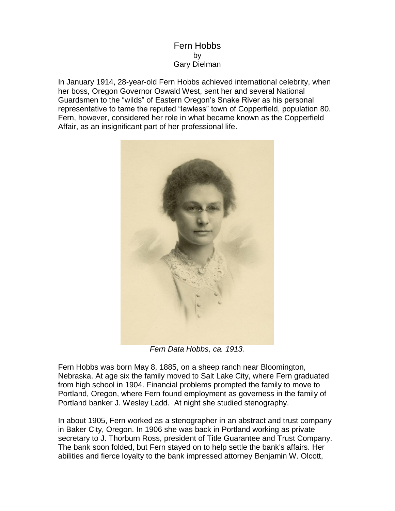## Fern Hobbs by Gary Dielman

In January 1914, 28-year-old Fern Hobbs achieved international celebrity, when her boss, Oregon Governor Oswald West, sent her and several National Guardsmen to the "wilds" of Eastern Oregon's Snake River as his personal representative to tame the reputed "lawless" town of Copperfield, population 80. Fern, however, considered her role in what became known as the Copperfield Affair, as an insignificant part of her professional life.



*Fern Data Hobbs, ca. 1913.*

Fern Hobbs was born May 8, 1885, on a sheep ranch near Bloomington, Nebraska. At age six the family moved to Salt Lake City, where Fern graduated from high school in 1904. Financial problems prompted the family to move to Portland, Oregon, where Fern found employment as governess in the family of Portland banker J. Wesley Ladd. At night she studied stenography.

In about 1905, Fern worked as a stenographer in an abstract and trust company in Baker City, Oregon. In 1906 she was back in Portland working as private secretary to J. Thorburn Ross, president of Title Guarantee and Trust Company. The bank soon folded, but Fern stayed on to help settle the bank's affairs. Her abilities and fierce loyalty to the bank impressed attorney Benjamin W. Olcott,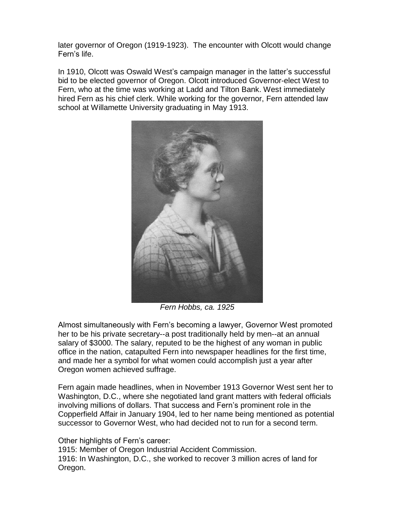later governor of Oregon (1919-1923). The encounter with Olcott would change Fern's life.

In 1910, Olcott was Oswald West's campaign manager in the latter's successful bid to be elected governor of Oregon. Olcott introduced Governor-elect West to Fern, who at the time was working at Ladd and Tilton Bank. West immediately hired Fern as his chief clerk. While working for the governor, Fern attended law school at Willamette University graduating in May 1913.



*Fern Hobbs, ca. 1925*

Almost simultaneously with Fern's becoming a lawyer, Governor West promoted her to be his private secretary--a post traditionally held by men--at an annual salary of \$3000. The salary, reputed to be the highest of any woman in public office in the nation, catapulted Fern into newspaper headlines for the first time, and made her a symbol for what women could accomplish just a year after Oregon women achieved suffrage.

Fern again made headlines, when in November 1913 Governor West sent her to Washington, D.C., where she negotiated land grant matters with federal officials involving millions of dollars. That success and Fern's prominent role in the Copperfield Affair in January 1904, led to her name being mentioned as potential successor to Governor West, who had decided not to run for a second term.

Other highlights of Fern's career:

1915: Member of Oregon Industrial Accident Commission.

1916: In Washington, D.C., she worked to recover 3 million acres of land for Oregon.